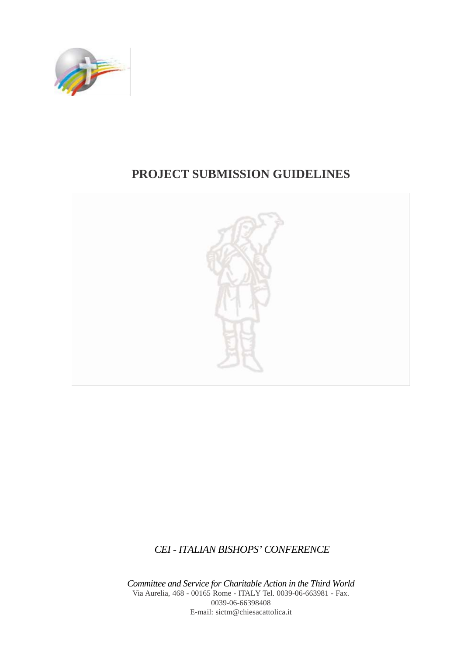

# **PROJECT SUBMISSION GUIDELINES**



*CEI - ITALIAN BISHOPS' CONFERENCE*

*Committee and Service for Charitable Action in the Third World* Via Aurelia, 468 - 00165 Rome - ITALY Tel. 0039-06-663981 - Fax. 0039-06-66398408 E-mail: [sictm@chiesacattolica.it](mailto:sictm@chiesacattolica.it)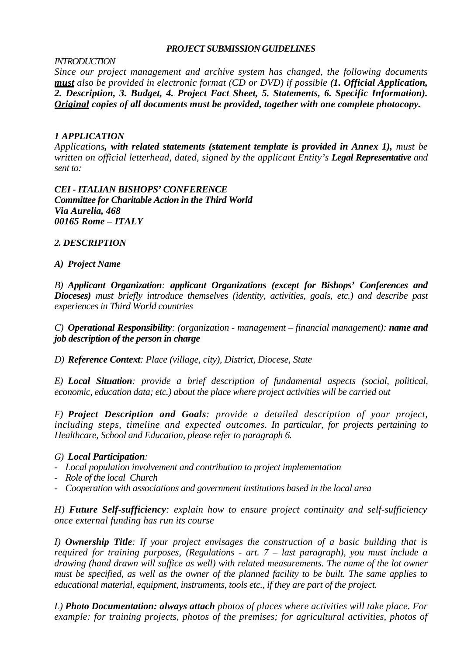#### *PROJECT SUBMISSION GUIDELINES*

#### *INTRODUCTION*

*Since our project management and archive system has changed, the following documents must also be provided in electronic format (CD or DVD) if possible (1. Official Application, 2. Description, 3. Budget, 4. Project Fact Sheet, 5. Statements, 6. Specific Information). Original copies of all documents must be provided, together with one complete photocopy.*

### *1 APPLICATION*

*Applications, with related statements (statement template is provided in Annex 1), must be written on official letterhead, dated, signed by the applicant Entity's Legal Representative and sent to:*

*CEI - ITALIAN BISHOPS' CONFERENCE Committee for Charitable Action in the Third World Via Aurelia, 468 00165 Rome – ITALY*

### *2. DESCRIPTION*

#### *A) Project Name*

*B) Applicant Organization: applicant Organizations (except for Bishops' Conferences and Dioceses) must briefly introduce themselves (identity, activities, goals, etc.) and describe past experiences in Third World countries* 

*C) Operational Responsibility: (organization - management – financial management): name and job description of the person in charge*

*D) Reference Context: Place (village, city), District, Diocese, State*

*E) Local Situation: provide a brief description of fundamental aspects (social, political, economic, education data; etc.) about the place where project activities will be carried out*

*F) Project Description and Goals: provide a detailed description of your project, including steps, timeline and expected outcomes. In particular, for projects pertaining to Healthcare, School and Education, please refer to paragraph 6.* 

### *G) Local Participation:*

- *Local population involvement and contribution to project implementation*
- *Role of the local Church*
- *Cooperation with associations and government institutions based in the local area*

*H) Future Self-sufficiency: explain how to ensure project continuity and self-sufficiency once external funding has run its course* 

*I) Ownership Title: If your project envisages the construction of a basic building that is required for training purposes, (Regulations - art. 7 – last paragraph), you must include a drawing (hand drawn will suffice as well) with related measurements. The name of the lot owner must be specified, as well as the owner of the planned facility to be built. The same applies to educational material, equipment, instruments, tools etc., if they are part of the project.* 

*L) Photo Documentation: always attach photos of places where activities will take place. For example: for training projects, photos of the premises; for agricultural activities, photos of*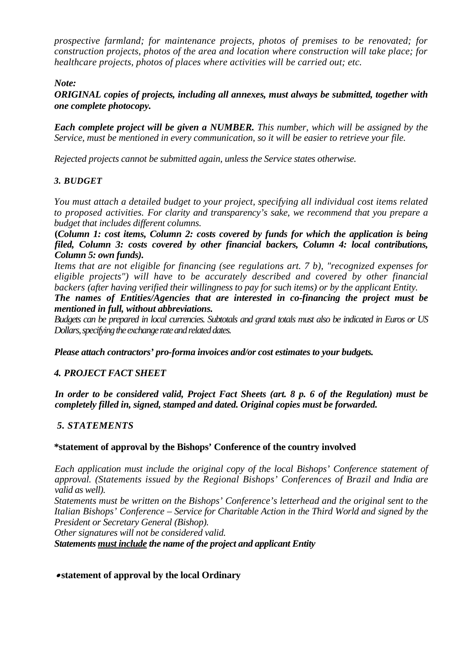*prospective farmland; for maintenance projects, photos of premises to be renovated; for construction projects, photos of the area and location where construction will take place; for healthcare projects, photos of places where activities will be carried out; etc.* 

### *Note:*

*ORIGINAL copies of projects, including all annexes, must always be submitted, together with one complete photocopy.* 

*Each complete project will be given a NUMBER. This number, which will be assigned by the Service, must be mentioned in every communication, so it will be easier to retrieve your file.*

*Rejected projects cannot be submitted again, unless the Service states otherwise.* 

## *3. BUDGET*

*You must attach a detailed budget to your project, specifying all individual cost items related to proposed activities. For clarity and transparency's sake, we recommend that you prepare a budget that includes different columns.*

**(***Column 1: cost items, Column 2: costs covered by funds for which the application is being filed, Column 3: costs covered by other financial backers, Column 4: local contributions, Column 5: own funds).*

*Items that are not eligible for financing (see regulations art. 7 b), "recognized expenses for eligible projects") will have to be accurately described and covered by other financial backers (after having verified their willingness to pay for such items) or by the applicant Entity.* 

*The names of Entities/Agencies that are interested in co-financing the project must be mentioned in full, without abbreviations.*

*Budgets can be prepared in local currencies. Subtotals and grand totals must also be indicated in Euros or US Dollars, specifying the exchange rate and related dates.* 

*Please attach contractors' pro-forma invoices and/or cost estimates to your budgets.*

### *4. PROJECT FACT SHEET*

*In order to be considered valid, Project Fact Sheets (art. 8 p. 6 of the Regulation) must be completely filled in, signed, stamped and dated. Original copies must be forwarded.*

### *5. STATEMENTS*

### **\*statement of approval by the Bishops' Conference of the country involved**

*Each application must include the original copy of the local Bishops' Conference statement of approval. (Statements issued by the Regional Bishops' Conferences of Brazil and India are valid as well).*

*Statements must be written on the Bishops' Conference's letterhead and the original sent to the Italian Bishops' Conference – Service for Charitable Action in the Third World and signed by the President or Secretary General (Bishop).* 

*Other signatures will not be considered valid.*

*Statements must include the name of the project and applicant Entity* 

• **statement of approval by the local Ordinary**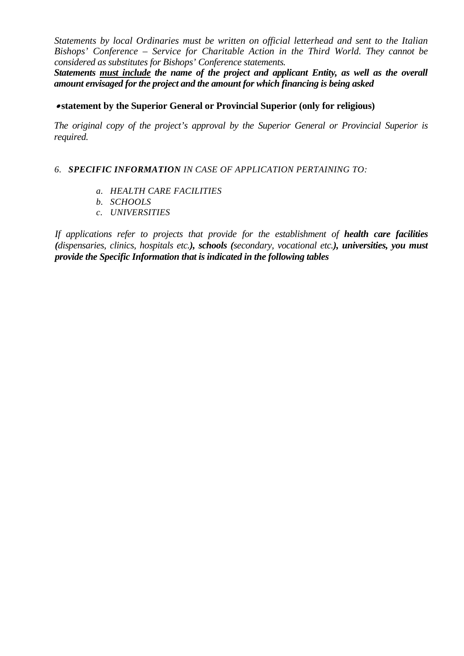*Statements by local Ordinaries must be written on official letterhead and sent to the Italian Bishops' Conference – Service for Charitable Action in the Third World. They cannot be considered as substitutes for Bishops' Conference statements.*

*Statements must include the name of the project and applicant Entity, as well as the overall amount envisaged for the project and the amount for which financing is being asked* 

### • **statement by the Superior General or Provincial Superior (only for religious)**

*The original copy of the project's approval by the Superior General or Provincial Superior is required.* 

#### *6. SPECIFIC INFORMATION IN CASE OF APPLICATION PERTAINING TO:*

- *a. HEALTH CARE FACILITIES*
- *b. SCHOOLS*
- *c. UNIVERSITIES*

*If applications refer to projects that provide for the establishment of health care facilities (dispensaries, clinics, hospitals etc.), schools (secondary, vocational etc.), universities, you must provide the Specific Information that is indicated in the following tables*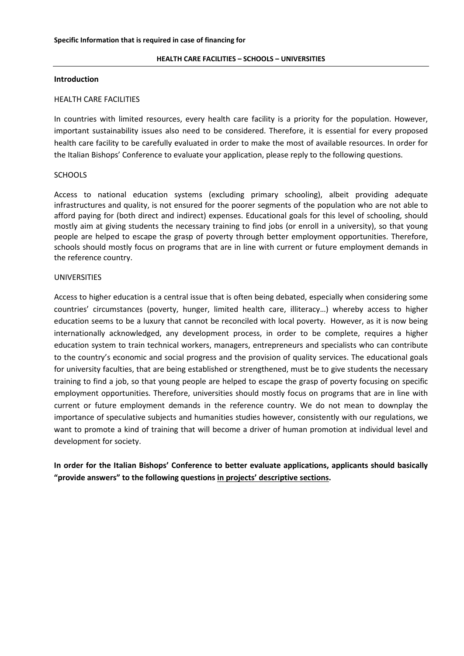#### **HEALTH CARE FACILITIES – SCHOOLS – UNIVERSITIES**

#### **Introduction**

#### HEALTH CARE FACILITIES

In countries with limited resources, every health care facility is a priority for the population. However, important sustainability issues also need to be considered. Therefore, it is essential for every proposed health care facility to be carefully evaluated in order to make the most of available resources. In order for the Italian Bishops' Conference to evaluate your application, please reply to the following questions.

#### **SCHOOLS**

Access to national education systems (excluding primary schooling), albeit providing adequate infrastructures and quality, is not ensured for the poorer segments of the population who are not able to afford paying for (both direct and indirect) expenses. Educational goals for this level of schooling, should mostly aim at giving students the necessary training to find jobs (or enroll in a university), so that young people are helped to escape the grasp of poverty through better employment opportunities. Therefore, schools should mostly focus on programs that are in line with current or future employment demands in the reference country.

#### UNIVERSITIES

Access to higher education is a central issue that is often being debated, especially when considering some countries' circumstances (poverty, hunger, limited health care, illiteracy…) whereby access to higher education seems to be a luxury that cannot be reconciled with local poverty. However, as it is now being internationally acknowledged, any development process, in order to be complete, requires a higher education system to train technical workers, managers, entrepreneurs and specialists who can contribute to the country's economic and social progress and the provision of quality services. The educational goals for university faculties, that are being established or strengthened, must be to give students the necessary training to find a job, so that young people are helped to escape the grasp of poverty focusing on specific employment opportunities. Therefore, universities should mostly focus on programs that are in line with current or future employment demands in the reference country. We do not mean to downplay the importance of speculative subjects and humanities studies however, consistently with our regulations, we want to promote a kind of training that will become a driver of human promotion at individual level and development for society.

**In order for the Italian Bishops' Conference to better evaluate applications, applicants should basically "provide answers" to the following questions in projects' descriptive sections.**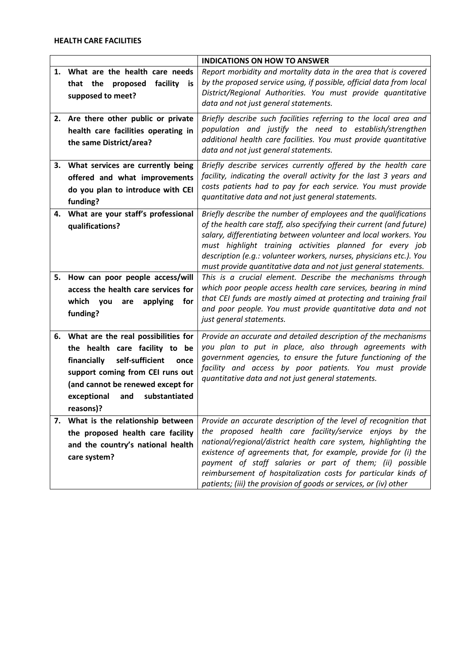#### **HEALTH CARE FACILITIES**

|    |                                                                                                                                                                                                                                                 | <b>INDICATIONS ON HOW TO ANSWER</b>                                                                                                                                                                                                                                                                                                                                                                                                                                 |
|----|-------------------------------------------------------------------------------------------------------------------------------------------------------------------------------------------------------------------------------------------------|---------------------------------------------------------------------------------------------------------------------------------------------------------------------------------------------------------------------------------------------------------------------------------------------------------------------------------------------------------------------------------------------------------------------------------------------------------------------|
|    | 1. What are the health care needs<br>that the proposed<br>facility<br>is.<br>supposed to meet?                                                                                                                                                  | Report morbidity and mortality data in the area that is covered<br>by the proposed service using, if possible, official data from local<br>District/Regional Authorities. You must provide quantitative<br>data and not just general statements.                                                                                                                                                                                                                    |
|    | 2. Are there other public or private<br>health care facilities operating in<br>the same District/area?                                                                                                                                          | Briefly describe such facilities referring to the local area and<br>population and justify the need to establish/strengthen<br>additional health care facilities. You must provide quantitative<br>data and not just general statements.                                                                                                                                                                                                                            |
|    | 3. What services are currently being<br>offered and what improvements<br>do you plan to introduce with CEI<br>funding?                                                                                                                          | Briefly describe services currently offered by the health care<br>facility, indicating the overall activity for the last 3 years and<br>costs patients had to pay for each service. You must provide<br>quantitative data and not just general statements.                                                                                                                                                                                                          |
| 4. | What are your staff's professional<br>qualifications?                                                                                                                                                                                           | Briefly describe the number of employees and the qualifications<br>of the health care staff, also specifying their current (and future)<br>salary, differentiating between volunteer and local workers. You<br>must highlight training activities planned for every job<br>description (e.g.: volunteer workers, nurses, physicians etc.). You<br>must provide quantitative data and not just general statements.                                                   |
| 5. | How can poor people access/will<br>access the health care services for<br>applying<br>which you<br>for<br>are<br>funding?                                                                                                                       | This is a crucial element. Describe the mechanisms through<br>which poor people access health care services, bearing in mind<br>that CEI funds are mostly aimed at protecting and training frail<br>and poor people. You must provide quantitative data and not<br>just general statements.                                                                                                                                                                         |
|    | 6. What are the real possibilities for<br>the health care facility to be<br>financially<br>self-sufficient<br>once<br>support coming from CEI runs out<br>(and cannot be renewed except for<br>exceptional<br>substantiated<br>and<br>reasons)? | Provide an accurate and detailed description of the mechanisms<br>you plan to put in place, also through agreements with<br>government agencies, to ensure the future functioning of the<br>facility and access by poor patients. You must provide<br>quantitative data and not just general statements.                                                                                                                                                            |
| 7. | What is the relationship between<br>the proposed health care facility<br>and the country's national health<br>care system?                                                                                                                      | Provide an accurate description of the level of recognition that<br>the proposed health care facility/service enjoys by the<br>national/regional/district health care system, highlighting the<br>existence of agreements that, for example, provide for (i) the<br>payment of staff salaries or part of them; (ii) possible<br>reimbursement of hospitalization costs for particular kinds of<br>patients; (iii) the provision of goods or services, or (iv) other |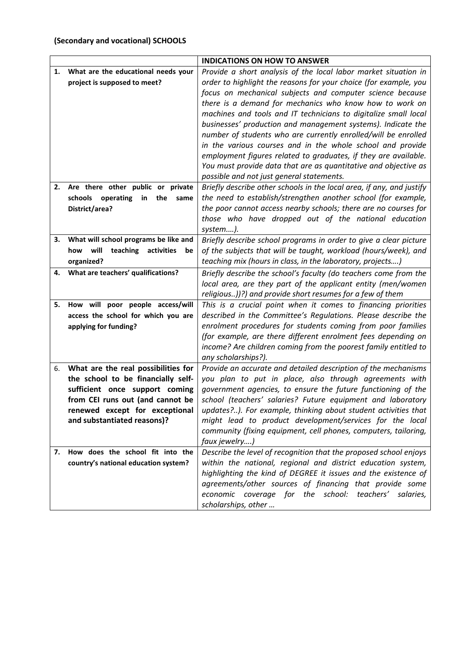# **(Secondary and vocational) SCHOOLS**

|    |                                          | <b>INDICATIONS ON HOW TO ANSWER</b>                                   |
|----|------------------------------------------|-----------------------------------------------------------------------|
| 1. | What are the educational needs your      | Provide a short analysis of the local labor market situation in       |
|    | project is supposed to meet?             | order to highlight the reasons for your choice (for example, you      |
|    |                                          | focus on mechanical subjects and computer science because             |
|    |                                          | there is a demand for mechanics who know how to work on               |
|    |                                          | machines and tools and IT technicians to digitalize small local       |
|    |                                          | businesses' production and management systems). Indicate the          |
|    |                                          | number of students who are currently enrolled/will be enrolled        |
|    |                                          | in the various courses and in the whole school and provide            |
|    |                                          | employment figures related to graduates, if they are available.       |
|    |                                          | You must provide data that are as quantitative and objective as       |
|    |                                          | possible and not just general statements.                             |
| 2. | Are there other public or private        | Briefly describe other schools in the local area, if any, and justify |
|    | schools operating<br>the<br>in<br>same   | the need to establish/strengthen another school (for example,         |
|    | District/area?                           | the poor cannot access nearby schools; there are no courses for       |
|    |                                          | those who have dropped out of the national education                  |
|    |                                          | system).                                                              |
| 3. | What will school programs be like and    | Briefly describe school programs in order to give a clear picture     |
|    | will<br>teaching activities<br>how<br>be | of the subjects that will be taught, workload (hours/week), and       |
|    | organized?                               | teaching mix (hours in class, in the laboratory, projects)            |
| 4. | What are teachers' qualifications?       | Briefly describe the school's faculty (do teachers come from the      |
|    |                                          | local area, are they part of the applicant entity (men/women          |
|    |                                          | religious))?) and provide short resumes for a few of them             |
| 5. | How will poor people access/will         | This is a crucial point when it comes to financing priorities         |
|    | access the school for which you are      | described in the Committee's Regulations. Please describe the         |
|    | applying for funding?                    | enrolment procedures for students coming from poor families           |
|    |                                          | (for example, are there different enrolment fees depending on         |
|    |                                          | income? Are children coming from the poorest family entitled to       |
|    |                                          | any scholarships?).                                                   |
| 6. | What are the real possibilities for      | Provide an accurate and detailed description of the mechanisms        |
|    | the school to be financially self-       | you plan to put in place, also through agreements with                |
|    | sufficient once support coming           | government agencies, to ensure the future functioning of the          |
|    | from CEI runs out (and cannot be         | school (teachers' salaries? Future equipment and laboratory           |
|    | renewed except for exceptional           | updates?). For example, thinking about student activities that        |
|    | and substantiated reasons)?              | might lead to product development/services for the local              |
|    |                                          | community (fixing equipment, cell phones, computers, tailoring,       |
|    |                                          | faux jewelry)                                                         |
| 7. | How does the school fit into the         | Describe the level of recognition that the proposed school enjoys     |
|    | country's national education system?     | within the national, regional and district education system,          |
|    |                                          | highlighting the kind of DEGREE it issues and the existence of        |
|    |                                          | agreements/other sources of financing that provide some               |
|    |                                          | economic coverage for the school: teachers' salaries,                 |
|    |                                          | scholarships, other                                                   |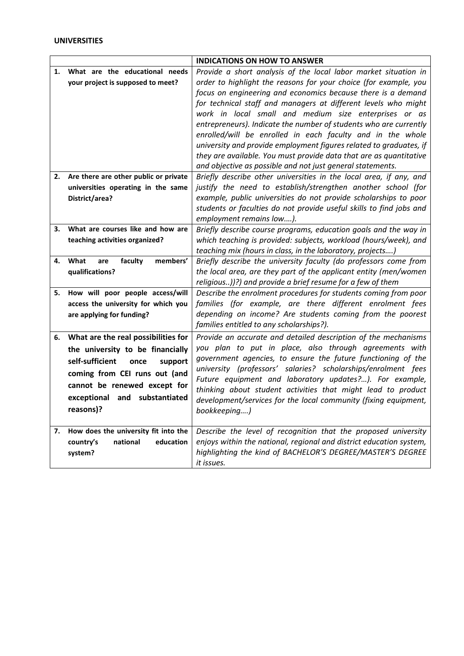|    |                                       | <b>INDICATIONS ON HOW TO ANSWER</b>                                                                                           |
|----|---------------------------------------|-------------------------------------------------------------------------------------------------------------------------------|
| 1. | What are the educational needs        | Provide a short analysis of the local labor market situation in                                                               |
|    | your project is supposed to meet?     | order to highlight the reasons for your choice (for example, you                                                              |
|    |                                       | focus on engineering and economics because there is a demand                                                                  |
|    |                                       | for technical staff and managers at different levels who might                                                                |
|    |                                       | work in local small and medium size enterprises or as                                                                         |
|    |                                       | entrepreneurs). Indicate the number of students who are currently                                                             |
|    |                                       | enrolled/will be enrolled in each faculty and in the whole                                                                    |
|    |                                       | university and provide employment figures related to graduates, if                                                            |
|    |                                       | they are available. You must provide data that are as quantitative                                                            |
|    |                                       | and objective as possible and not just general statements.                                                                    |
| 2. | Are there are other public or private | Briefly describe other universities in the local area, if any, and                                                            |
|    | universities operating in the same    | justify the need to establish/strengthen another school (for                                                                  |
|    | District/area?                        | example, public universities do not provide scholarships to poor                                                              |
|    |                                       | students or faculties do not provide useful skills to find jobs and                                                           |
|    |                                       | employment remains low).                                                                                                      |
| З. | What are courses like and how are     | Briefly describe course programs, education goals and the way in                                                              |
|    | teaching activities organized?        | which teaching is provided: subjects, workload (hours/week), and                                                              |
|    |                                       | teaching mix (hours in class, in the laboratory, projects)                                                                    |
| 4. | faculty<br>members'<br>What<br>are    | Briefly describe the university faculty (do professors come from                                                              |
|    | qualifications?                       | the local area, are they part of the applicant entity (men/women                                                              |
| 5. | How will poor people access/will      | religious))?) and provide a brief resume for a few of them                                                                    |
|    | access the university for which you   | Describe the enrolment procedures for students coming from poor<br>families (for example, are there different enrolment fees  |
|    | are applying for funding?             | depending on income? Are students coming from the poorest                                                                     |
|    |                                       | families entitled to any scholarships?).                                                                                      |
|    |                                       |                                                                                                                               |
| 6. | What are the real possibilities for   | Provide an accurate and detailed description of the mechanisms                                                                |
|    | the university to be financially      | you plan to put in place, also through agreements with                                                                        |
|    | self-sufficient<br>once<br>support    | government agencies, to ensure the future functioning of the<br>university (professors' salaries? scholarships/enrolment fees |
|    | coming from CEI runs out (and         | Future equipment and laboratory updates?). For example,                                                                       |
|    | cannot be renewed except for          | thinking about student activities that might lead to product                                                                  |
|    | exceptional and substantiated         | development/services for the local community (fixing equipment,                                                               |
|    | reasons)?                             | bookkeeping)                                                                                                                  |
|    |                                       |                                                                                                                               |
| 7. | How does the university fit into the  | Describe the level of recognition that the proposed university                                                                |
|    | national<br>country's<br>education    | enjoys within the national, regional and district education system,                                                           |
|    | system?                               | highlighting the kind of BACHELOR'S DEGREE/MASTER'S DEGREE                                                                    |
|    |                                       | it issues.                                                                                                                    |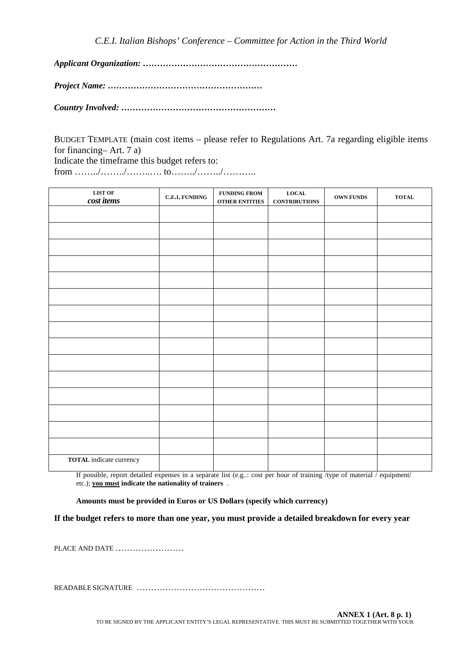*C.E.I. Italian Bishops' Conference – Committee for Action in the Third World*

*Applicant Organization: ………………………………………………*

*Project Name: ………………………………………………*

*Country Involved: ………………………………………………*

BUDGET TEMPLATE (main cost items – please refer to Regulations Art. 7a regarding eligible items for financing– Art. 7 a) Indicate the timeframe this budget refers to: from ……../……../……..…. to……../……../………..

| ${\bf LIST~OF}$<br>cost items  | <b>C.E.I. FUNDING</b> | <b>FUNDING FROM</b><br>OTHER ENTITIES | $_{\rm LOCAL}$<br>$\label{eq:contribution} \textbf{CONTRIBUTIONS}$ | OWN FUNDS | <b>TOTAL</b> |
|--------------------------------|-----------------------|---------------------------------------|--------------------------------------------------------------------|-----------|--------------|
|                                |                       |                                       |                                                                    |           |              |
|                                |                       |                                       |                                                                    |           |              |
|                                |                       |                                       |                                                                    |           |              |
|                                |                       |                                       |                                                                    |           |              |
|                                |                       |                                       |                                                                    |           |              |
|                                |                       |                                       |                                                                    |           |              |
|                                |                       |                                       |                                                                    |           |              |
|                                |                       |                                       |                                                                    |           |              |
|                                |                       |                                       |                                                                    |           |              |
|                                |                       |                                       |                                                                    |           |              |
|                                |                       |                                       |                                                                    |           |              |
|                                |                       |                                       |                                                                    |           |              |
|                                |                       |                                       |                                                                    |           |              |
|                                |                       |                                       |                                                                    |           |              |
|                                |                       |                                       |                                                                    |           |              |
| <b>TOTAL</b> indicate currency |                       |                                       |                                                                    |           |              |

If possible, report detailed expenses in a separate list (e.g..: cost per hour of training /type of material / equipment/ etc.); **you must indicate the nationality of trainers** .

**Amounts must be provided in Euros or US Dollars (specify which currency)**

**If the budget refers to more than one year, you must provide a detailed breakdown for every year** 

PLACE AND DATE ……………………

READABLE SIGNATURE ………………………………………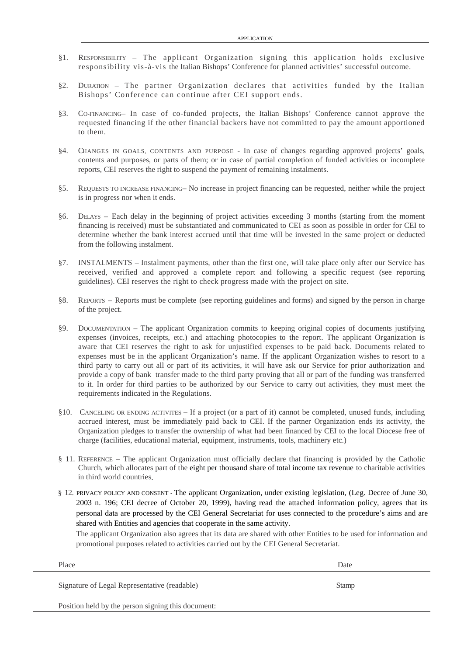- §1. RESPONSIBILITY The applicant Organization signing this application holds exclusive responsibility vis-à-vis the Italian Bishops' Conference for planned activities' successful outcome.
- $§2.$  DURATION The partner Organization declares that activities funded by the Italian Bishops' Conference can continue after CEI support ends.
- §3. CO-FINANCING– In case of co-funded projects, the Italian Bishops' Conference cannot approve the requested financing if the other financial backers have not committed to pay the amount apportioned to them.
- §4. CHANGES IN GOALS, CONTENTS AND PURPOSE In case of changes regarding approved projects' goals, contents and purposes, or parts of them; or in case of partial completion of funded activities or incomplete reports, CEI reserves the right to suspend the payment of remaining instalments.
- §5. REQUESTS TO INCREASE FINANCING– No increase in project financing can be requested, neither while the project is in progress nor when it ends.
- §6. DELAYS Each delay in the beginning of project activities exceeding 3 months (starting from the moment financing is received) must be substantiated and communicated to CEI as soon as possible in order for CEI to determine whether the bank interest accrued until that time will be invested in the same project or deducted from the following instalment.
- §7. INSTALMENTS Instalment payments, other than the first one, will take place only after our Service has received, verified and approved a complete report and following a specific request (see reporting guidelines). CEI reserves the right to check progress made with the project on site.
- §8. REPORTS Reports must be complete (see reporting guidelines and forms) and signed by the person in charge of the project.
- §9. DOCUMENTATION The applicant Organization commits to keeping original copies of documents justifying expenses (invoices, receipts, etc.) and attaching photocopies to the report. The applicant Organization is aware that CEI reserves the right to ask for unjustified expenses to be paid back. Documents related to expenses must be in the applicant Organization's name. If the applicant Organization wishes to resort to a third party to carry out all or part of its activities, it will have ask our Service for prior authorization and provide a copy of bank transfer made to the third party proving that all or part of the funding was transferred to it. In order for third parties to be authorized by our Service to carry out activities, they must meet the requirements indicated in the Regulations.
- §10. CANCELING OR ENDING ACTIVITES If a project (or a part of it) cannot be completed, unused funds, including accrued interest, must be immediately paid back to CEI. If the partner Organization ends its activity, the Organization pledges to transfer the ownership of what had been financed by CEI to the local Diocese free of charge (facilities, educational material, equipment, instruments, tools, machinery etc.)
- § 11. REFERENCE The applicant Organization must officially declare that financing is provided by the Catholic Church, which allocates part of the eight per thousand share of total income tax revenue to charitable activities in third world countries.
- § 12. PRIVACY POLICY AND CONSENT The applicant Organization, under existing legislation, (Leg. Decree of June 30, 2003 n. 196; CEI decree of October 20, 1999), having read the attached information policy, agrees that its personal data are processed by the CEI General Secretariat for uses connected to the procedure's aims and are shared with Entities and agencies that cooperate in the same activity.

The applicant Organization also agrees that its data are shared with other Entities to be used for information and promotional purposes related to activities carried out by the CEI General Secretariat.

| Place                                              | Date  |
|----------------------------------------------------|-------|
| Signature of Legal Representative (readable)       | Stamp |
| Position held by the person signing this document: |       |